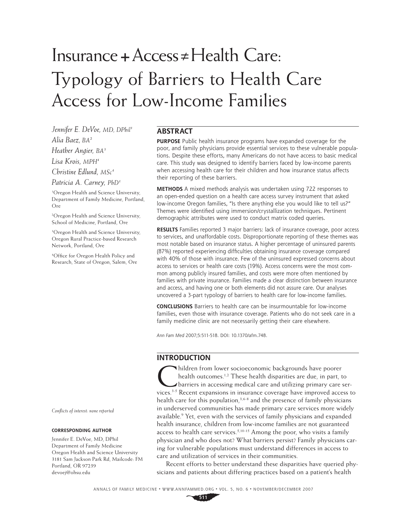# Insurance + Access ≠ Health Care: Typology of Barriers to Health Care Access for Low-Income Families

*Jennifer E. DeVoe, MD, DPhil1 Alia Baez, BA2 Heather Angier, BA3 Lisa Krois, MPH4 Christine Edlund, MSc4 Patricia A. Carney, PhD1*

1 Oregon Health and Science University, Department of Family Medicine, Portland, Ore

2 Oregon Health and Science University, School of Medicine, Portland, Ore

3 Oregon Health and Science University, Oregon Rural Practice-based Research Network, Portland, Ore

<sup>4</sup>Office for Oregon Health Policy and Research, State of Oregon, Salem, Ore

*Confl icts of interest: none reported*

#### **CORRESPONDING AUTHOR**

Jennifer E. DeVoe, MD, DPhil Department of Family Medicine Oregon Health and Science University 3181 Sam Jackson Park Rd, Mailcode: FM Portland, OR 97239 devoej@ohsu.edu

# **ABSTRACT**

**PURPOSE** Public health insurance programs have expanded coverage for the poor, and family physicians provide essential services to these vulnerable populations. Despite these efforts, many Americans do not have access to basic medical care. This study was designed to identify barriers faced by low-income parents when accessing health care for their children and how insurance status affects their reporting of these barriers.

**METHODS** A mixed methods analysis was undertaken using 722 responses to an open-ended question on a health care access survey instrument that asked low-income Oregon families, "Is there anything else you would like to tell us?" Themes were identified using immersion/crystallization techniques. Pertinent demographic attributes were used to conduct matrix coded queries.

**RESULTS** Families reported 3 major barriers: lack of insurance coverage, poor access to services, and unaffordable costs. Disproportionate reporting of these themes was most notable based on insurance status. A higher percentage of uninsured parents (87%) reported experiencing difficulties obtaining insurance coverage compared with 40% of those with insurance. Few of the uninsured expressed concerns about access to services or health care costs (19%). Access concerns were the most common among publicly insured families, and costs were more often mentioned by families with private insurance. Families made a clear distinction between insurance and access, and having one or both elements did not assure care. Our analyses uncovered a 3-part typology of barriers to health care for low-income families.

**CONCLUSIONS** Barriers to health care can be insurmountable for low-income families, even those with insurance coverage. Patients who do not seek care in a family medicine clinic are not necessarily getting their care elsewhere.

Ann Fam Med 2007;5:511-518. DOI: 10.1370/afm.748.

# **INTRODUCTION**

Inildren from lower socioeconomic backgrounds have poorer health outcomes.<sup>1,2</sup> These health disparities are due, in part, to barriers in accessing medical care and utilizing primary care services.3-5 Recent expansions in insurance coverage have improved access to health care for this population,<sup>3,6-8</sup> and the presence of family physicians in underserved communities has made primary care services more widely available.<sup>9</sup> Yet, even with the services of family physicians and expanded health insurance, children from low-income families are not guaranteed access to health care services.<sup>5,10-15</sup> Among the poor, who visits a family physician and who does not? What barriers persist? Family physicians caring for vulnerable populations must understand differences in access to care and utilization of services in their communities.

Recent efforts to better understand these disparities have queried physicians and patients about differing practices based on a patient's health

ANNALS OF FAMILY MEDICINE ✦ WWW.ANNFAMMED.ORG ✦ VOL. 5, NO. 6 ✦ NOVEMBER/DECEMBER 2007

**511**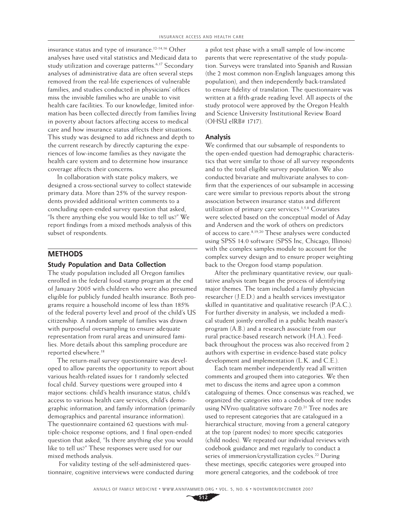insurance status and type of insurance.12-14,16 Other analyses have used vital statistics and Medicaid data to study utilization and coverage patterns.<sup>6,17</sup> Secondary analyses of administrative data are often several steps removed from the real-life experiences of vulnerable families, and studies conducted in physicians' offices miss the invisible families who are unable to visit health care facilities. To our knowledge, limited information has been collected directly from families living in poverty about factors affecting access to medical care and how insurance status affects their situations. This study was designed to add richness and depth to the current research by directly capturing the experiences of low-income families as they navigate the health care system and to determine how insurance coverage affects their concerns.

In collaboration with state policy makers, we designed a cross-sectional survey to collect statewide primary data. More than 25% of the survey respondents provided additional written comments to a concluding open-ended survey question that asked, "Is there anything else you would like to tell us?" We report findings from a mixed methods analysis of this subset of respondents.

## **METHODS**

### **Study Population and Data Collection**

The study population included all Oregon families enrolled in the federal food stamp program at the end of January 2005 with children who were also presumed eligible for publicly funded health insurance. Both programs require a household income of less than 185% of the federal poverty level and proof of the child's US citizenship. A random sample of families was drawn with purposeful oversampling to ensure adequate representation from rural areas and uninsured families. More details about this sampling procedure are reported elsewhere.18

The return-mail survey questionnaire was developed to allow parents the opportunity to report about various health-related issues for 1 randomly selected focal child. Survey questions were grouped into 4 major sections: child's health insurance status, child's access to various health care services, child's demographic information, and family information (primarily demographics and parental insurance information). The questionnaire contained 62 questions with multiple-choice response options, and 1 final open-ended question that asked, "Is there anything else you would like to tell us?" These responses were used for our mixed methods analysis.

 For validity testing of the self-administered questionnaire, cognitive interviews were conducted during a pilot test phase with a small sample of low-income parents that were representative of the study population. Surveys were translated into Spanish and Russian (the 2 most common non-English languages among this population), and then independently back-translated to ensure fidelity of translation. The questionnaire was written at a fifth-grade reading level. All aspects of the study protocol were approved by the Oregon Health and Science University Institutional Review Board (OHSU eIRB# 1717).

#### **Analysis**

We confirmed that our subsample of respondents to the open-ended question had demographic characteristics that were similar to those of all survey respondents and to the total eligible survey population. We also conducted bivariate and multivariate analyses to confirm that the experiences of our subsample in accessing care were similar to previous reports about the strong association between insurance status and different utilization of primary care services.3,5,8 Covariates were selected based on the conceptual model of Aday and Andersen and the work of others on predictors of access to care.8,19,20 These analyses were conducted using SPSS 14.0 software (SPSS Inc, Chicago, Illinois) with the complex samples module to account for the complex survey design and to ensure proper weighting back to the Oregon food stamp population.

After the preliminary quantitative review, our qualitative analysis team began the process of identifying major themes. The team included a family physician researcher (J.E.D.) and a health services investigator skilled in quantitative and qualitative research (P.A.C.). For further diversity in analysis, we included a medical student jointly enrolled in a public health master's program (A.B.) and a research associate from our rural practice-based research network (H.A.). Feedback throughout the process was also received from 2 authors with expertise in evidence-based state policy development and implementation (L.K. and C.E.).

Each team member independently read all written comments and grouped them into categories. We then met to discuss the items and agree upon a common cataloguing of themes. Once consensus was reached, we organized the categories into a codebook of tree nodes using NVivo qualitative software 7.0.<sup>21</sup> Tree nodes are used to represent categories that are catalogued in a hierarchical structure, moving from a general category at the top (parent nodes) to more specific categories (child nodes). We repeated our individual reviews with codebook guidance and met regularly to conduct a series of immersion/crystallization cycles.<sup>22</sup> During these meetings, specific categories were grouped into more general categories, and the codebook of tree

**512**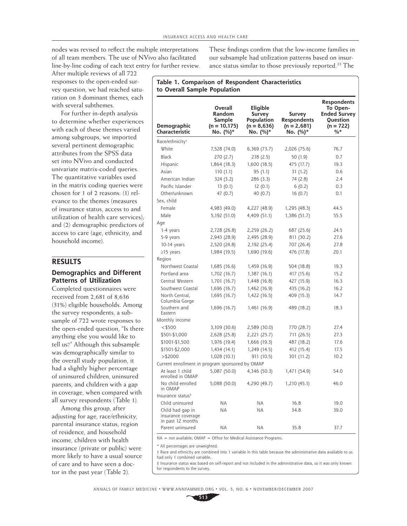nodes was revised to reflect the multiple interpretations of all team members. The use of NVivo also facilitated line-by-line coding of each text entry for further review. These findings confirm that the low-income families in our subsample had utilization patterns based on insurance status similar to those previously reported.<sup>23</sup> The

After multiple reviews of all 722 responses to the open-ended survey question, we had reached saturation on 3 dominant themes, each with several subthemes.

For further in-depth analysis to determine whether experiences with each of these themes varied among subgroups, we imported several pertinent demographic attributes from the SPSS data set into NVivo and conducted univariate matrix-coded queries. The quantitative variables used in the matrix coding queries were chosen for 1 of 2 reasons: (1) relevance to the themes (measures of insurance status, access to and utilization of health care services); and (2) demographic predictors of access to care (age, ethnicity, and household income).

## **RESULTS**

# **Demographics and Different Patterns of Utilization**

Completed questionnaires were received from 2,681 of 8,636 (31%) eligible households. Among the survey respondents, a subsample of 722 wrote responses to the open-ended question, "Is there anything else you would like to tell us?" Although this subsample was demographically similar to the overall study population, it had a slightly higher percentage of uninsured children, uninsured parents, and children with a gap in coverage, when compared with all survey respondents (Table 1).

Among this group, after adjusting for age, race/ethnicity, parental insurance status, region of residence, and household income, children with health insurance (private or public) were more likely to have a usual source of care and to have seen a doctor in the past year (Table 2).

**Table 1. Comparison of Respondent Characteristics to Overall Sample Population**

| Demographic<br>Characteristic                               | Overall<br>Random<br>Sample<br>$(n = 10, 175)$<br>No. $(%)^*$ | Eligible<br>Survey<br>Population<br>$(n = 8,636)$<br>No. (%)* | Survey<br>Respondents<br>$(n = 2,681)$<br>No. (%)* | Respondents<br>To Open-<br><b>Ended Survey</b><br>Question<br>$(n = 722)$<br>$\%*$ |
|-------------------------------------------------------------|---------------------------------------------------------------|---------------------------------------------------------------|----------------------------------------------------|------------------------------------------------------------------------------------|
| Race/ethnicity <sup>†</sup>                                 |                                                               |                                                               |                                                    |                                                                                    |
| White                                                       | 7,528 (74.0)                                                  | 6,369 (73.7)                                                  | 2,026 (75.6)                                       | 76.7                                                                               |
| Black                                                       | 270 (2.7)                                                     | 218 (2.5)                                                     | 50 (1.9)                                           | 0.7                                                                                |
| Hispanic                                                    | 1,864 (18.3)                                                  | 1,600 (18.5)                                                  | 475 (17.7)                                         | 19.3                                                                               |
| Asian                                                       | 110(1.1)                                                      | 95 (1.1)                                                      | 31(1.2)                                            | 0.6                                                                                |
| American Indian                                             | 324 (3.2)                                                     | 286 (3.3)                                                     | 74 (2.8)                                           | 2.4                                                                                |
| Pacific Islander                                            | 13(0.1)                                                       | 12(0.1)                                                       | 6(0.2)                                             | 0.3                                                                                |
| Other/unknown                                               | 47 (0.7)                                                      | 40 (0.7)                                                      | 16(0.7)                                            | 0.1                                                                                |
| Sex, child                                                  |                                                               |                                                               |                                                    |                                                                                    |
| Female                                                      | 4,983 (49.0)                                                  | 4,227 (48.9)                                                  | 1,295 (48.3)                                       | 44.5                                                                               |
| Male                                                        | 5,192 (51.0)                                                  | 4,409 (51.1)                                                  | 1,386 (51.7)                                       | 55.5                                                                               |
| Age                                                         |                                                               |                                                               |                                                    |                                                                                    |
| 1-4 years                                                   | 2,728 (26.8)                                                  | 2,259 (26.2)                                                  | 687 (25.6)                                         | 24.5                                                                               |
| 5-9 years                                                   | 2,943 (28.9)                                                  | 2,495 (28.9)                                                  | 811 (30.2)                                         | 27.6                                                                               |
| $10-14$ years                                               | 2,520 (24.8)                                                  | 2,192 (25.4)                                                  | 707 (26.4)                                         | 27.8                                                                               |
| $\geq$ 15 years                                             | 1,984 (19.5)                                                  | 1,690 (19.6)                                                  | 476 (17.8)                                         | 20.1                                                                               |
| Region                                                      |                                                               |                                                               |                                                    |                                                                                    |
| Northwest Coastal                                           | 1,685 (16.6)                                                  | 1,459 (16.9)                                                  | 504 (18.8)                                         | 19.3                                                                               |
| Portland area                                               | 1,702 (16.7)                                                  | 1,387 (16.1)                                                  | 417 (15.6)                                         | 15.2                                                                               |
| Central Western                                             | 1,701 (16.7)                                                  | 1,448 (16.8)                                                  | 427 (15.9)                                         | 16.3                                                                               |
| Southwest Coastal                                           | 1,696 (16.7)                                                  | 1,462 (16.9)                                                  | 435 (16.2)                                         | 16.2                                                                               |
| North Central,<br>Columbia Gorge                            | 1,695 (16.7)                                                  | 1,422 (16.5)                                                  | 409 (15.3)                                         | 14.7                                                                               |
| Southern and<br>Eastern                                     | 1,696 (16.7)                                                  | 1,461 (16.9)                                                  | 489 (18.2)                                         | 18.3                                                                               |
| Monthly income                                              |                                                               |                                                               |                                                    |                                                                                    |
| $<$ \$500                                                   | 3,109 (30.6)                                                  | 2,589 (30.0)                                                  | 770 (28.7)                                         | 27.4                                                                               |
| \$501-\$1,000                                               | 2,628 (25.8)                                                  | 2,221 (25.7)                                                  | 711 (26.5)                                         | 27.3                                                                               |
| \$1001-\$1,500                                              | 1,976 (19.4)                                                  | 1,666 (19.3)                                                  | 487 (18.2)                                         | 17.6                                                                               |
| \$1501-\$2,000                                              | 1,434 (14.1)                                                  | 1,249 (14.5)                                                  | 412 (15.4)                                         | 17.5                                                                               |
| $>$ \$2000                                                  | 1,028 (10.1)                                                  | 911 (10.5)                                                    | 301 (11.2)                                         | 10.2                                                                               |
| Current enrollment in program sponsored by OMAP             |                                                               |                                                               |                                                    |                                                                                    |
| At least 1 child<br>enrolled in OMAP                        | 5,087 (50.0)                                                  | 4,346 (50.3)                                                  | 1,471 (54.9)                                       | 54.0                                                                               |
| No child enrolled<br>in OMAP                                | 5,088 (50.0)                                                  | 4,290 (49.7)                                                  | 1,210 (45.1)                                       | 46.0                                                                               |
| Insurance status <sup>#</sup>                               |                                                               |                                                               |                                                    |                                                                                    |
| Child uninsured                                             | ΝA                                                            | <b>NA</b>                                                     | 16.8                                               | 19.0                                                                               |
| Child had gap in<br>insurance coverage<br>in past 12 months | ΝA                                                            | <b>NA</b>                                                     | 34.8                                               | 39.0                                                                               |
| Parent uninsured                                            | ΝA                                                            | <b>NA</b>                                                     | 35.8                                               | 37.7                                                                               |

 $NA = not available; OMAP = Office for Medical Assistance Programs.$ 

\* All percentages are unweighted.

† Race and ethnicity are combined into 1 variable in this table because the administrative data available to us had only 1 combined variable.

‡ Insurance status was based on self-report and not included in the administrative data, so it was only known for respondents to the survey.

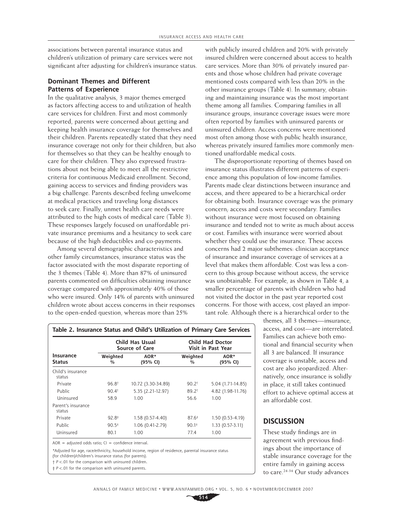associations between parental insurance status and children's utilization of primary care services were not significant after adjusting for children's insurance status.

# **Dominant Themes and Different Patterns of Experience**

In the qualitative analysis, 3 major themes emerged as factors affecting access to and utilization of health care services for children. First and most commonly reported, parents were concerned about getting and keeping health insurance coverage for themselves and their children. Parents repeatedly stated that they need insurance coverage not only for their children, but also for themselves so that they can be healthy enough to care for their children. They also expressed frustrations about not being able to meet all the restrictive criteria for continuous Medicaid enrollment. Second, gaining access to services and finding providers was a big challenge. Parents described feeling unwelcome at medical practices and traveling long distances to seek care. Finally, unmet health care needs were attributed to the high costs of medical care (Table 3). These responses largely focused on unaffordable private insurance premiums and a hesitancy to seek care because of the high deductibles and co-payments.

Among several demographic characteristics and other family circumstances, insurance status was the factor associated with the most disparate reporting of the 3 themes (Table 4). More than 87% of uninsured parents commented on difficulties obtaining insurance coverage compared with approximately 40% of those who were insured. Only 14% of parents with uninsured children wrote about access concerns in their responses to the open-ended question, whereas more than 25%

with publicly insured children and 20% with privately insured children were concerned about access to health care services. More than 30% of privately insured parents and those whose children had private coverage mentioned costs compared with less than 20% in the other insurance groups (Table 4). In summary, obtaining and maintaining insurance was the most important theme among all families. Comparing families in all insurance groups, insurance coverage issues were more often reported by families with uninsured parents or uninsured children. Access concerns were mentioned most often among those with public health insurance, whereas privately insured families more commonly mentioned unaffordable medical costs.

The disproportionate reporting of themes based on insurance status illustrates different patterns of experience among this population of low-income families. Parents made clear distinctions between insurance and access, and there appeared to be a hierarchical order for obtaining both. Insurance coverage was the primary concern; access and costs were secondary. Families without insurance were most focused on obtaining insurance and tended not to write as much about access or cost. Families with insurance were worried about whether they could use the insurance. These access concerns had 2 major subthemes: clinician acceptance of insurance and insurance coverage of services at a level that makes them affordable. Cost was less a concern to this group because without access, the service was unobtainable. For example, as shown in Table 4, a smaller percentage of parents with children who had not visited the doctor in the past year reported cost concerns. For those with access, cost played an important role. Although there is a hierarchical order to the

|    | themes, all 3 themes—insurance,     |
|----|-------------------------------------|
| ŕ. | access, and cost—are interrelated.  |
|    | Families can achieve both emo-      |
|    | tional and financial security when  |
|    | all 3 are balanced. If insurance    |
|    | coverage is unstable, access and    |
|    | cost are also jeopardized. Alter-   |
|    | natively, once insurance is solidly |
|    | in place, it still takes continued  |
|    | effort to achieve optimal access at |
|    | an affordable cost.                 |
|    |                                     |

# **DISCUSSION**

These study findings are in agreement with previous findings about the importance of stable insurance coverage for the entire family in gaining access to care.<sup>24-34</sup> Our study advances

|                                             | Child Has Usual<br>Source of Care |                    | <b>Child Had Doctor</b><br>Visit in Past Year |                   |
|---------------------------------------------|-----------------------------------|--------------------|-----------------------------------------------|-------------------|
| Insurance<br>Weighted<br><b>Status</b><br>% |                                   | AOR*<br>(95% CI)   | Weighted<br>%                                 | AOR*<br>(95% CI)  |
| Child's insurance<br>status                 |                                   |                    |                                               |                   |
| Private                                     | 96.8 <sup>†</sup>                 | 10.72 (3.30-34.89) | 90.2 <sup>†</sup>                             | 5.04 (1.71-14.85) |
| Public                                      | 90.4 <sup>†</sup>                 | 5.35 (2.21-12.97)  | $89.2$ <sup>+</sup>                           | 4.82 (1.98-11.76) |
| Uninsured                                   | 58.9                              | 1.00               | 56.6                                          | 1.00              |
| Parent's insurance<br>status                |                                   |                    |                                               |                   |
| Private                                     | $92.8^+$                          | 1.58 (0.57-4.40)   | 87.6 <sup>‡</sup>                             | 1.50 (0.53-4.19)  |
| Public                                      | 90.5 <sup>†</sup>                 | 1.06 (0.41-2.79)   | $90.1*$                                       | 1.33 (0.57-3.11)  |
| Uninsured                                   | 80.1                              | 1.00               | 77.4                                          | 1.00              |

 $AOR =$  adjusted odds ratio;  $CI =$  confidence interval.

\*Adjusted for age, race/ethnicity, household income, region of residence, parental insurance status (for children)/children's insurance status (for parents).

 $\dagger$  P <.01 for the comparison with uninsured children.

‡ P <.01 for the comparison with uninsured parents.

ANNALS OF FAMILY MEDICINE ✦ WWW.ANNFAMMED.ORG ✦ VOL. 5, NO. 6 ✦ NOVEMBER/DECEMBER 2007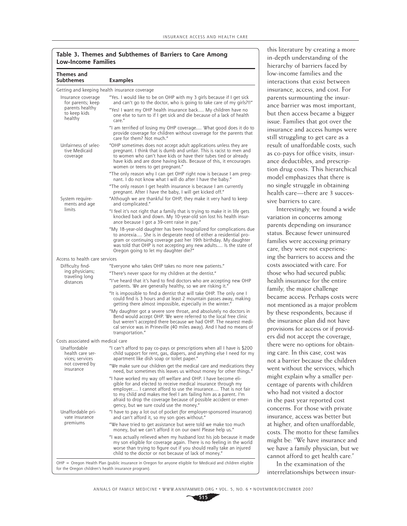## **Table 3. Themes and Subthemes of Barriers to Care Among Low-Income Families**

| Getting and keeping health insurance coverage<br>Insurance coverage<br>for parents; keep<br>parents healthy<br>to keep kids<br>healthy | "Yes. I would like to be on OHP with my 3 girls because if I get sick<br>and can't go to the doctor, who is going to take care of my girls?!!"<br>"Yes! I want my OHP health insurance back My children have no<br>one else to turn to if I get sick and die because of a lack of health<br>care."<br>"I am terrified of losing my OHP coverage What good does it do to<br>provide coverage for children without coverage for the parents that<br>care for them? Not much." |  |
|----------------------------------------------------------------------------------------------------------------------------------------|-----------------------------------------------------------------------------------------------------------------------------------------------------------------------------------------------------------------------------------------------------------------------------------------------------------------------------------------------------------------------------------------------------------------------------------------------------------------------------|--|
|                                                                                                                                        |                                                                                                                                                                                                                                                                                                                                                                                                                                                                             |  |
|                                                                                                                                        |                                                                                                                                                                                                                                                                                                                                                                                                                                                                             |  |
|                                                                                                                                        |                                                                                                                                                                                                                                                                                                                                                                                                                                                                             |  |
|                                                                                                                                        |                                                                                                                                                                                                                                                                                                                                                                                                                                                                             |  |
| Unfairness of selec-<br>tive Medicaid<br>coverage                                                                                      | "OHP sometimes does not accept adult applications unless they are<br>pregnant. I think that is dumb and unfair. This is racist to men and<br>to women who can't have kids or have their tubes tied or already<br>have kids and are done having kids. Because of this, it encourages<br>women or teens to get pregnant."                                                                                                                                                     |  |
|                                                                                                                                        | "The only reason why I can get OHP right now is because I am preg-<br>nant. I do not know what I will do after I have the baby."                                                                                                                                                                                                                                                                                                                                            |  |
|                                                                                                                                        | "The only reason I get health insurance is because I am currently<br>pregnant. After I have the baby, I will get kicked off."                                                                                                                                                                                                                                                                                                                                               |  |
| System require-<br>ments and age                                                                                                       | "Although we are thankful for OHP, they make it very hard to keep<br>and complicated."                                                                                                                                                                                                                                                                                                                                                                                      |  |
| limits                                                                                                                                 | "I feel it's not right that a family that is trying to make it in life gets<br>knocked back and down. My 10-year-old son lost his health insur-<br>ance because I got a 39-cent raise in pay."                                                                                                                                                                                                                                                                              |  |
|                                                                                                                                        | "My 18-year-old daughter has been hospitalized for complications due<br>to anorexia She is in desperate need of either a residential pro-<br>gram or continuing coverage past her 19th birthday. My daughter<br>was told that OHP is not accepting any new adults Is the state of<br>Oregon going to let my daughter die?"                                                                                                                                                  |  |
| Access to health care services                                                                                                         |                                                                                                                                                                                                                                                                                                                                                                                                                                                                             |  |
| Difficulty find-                                                                                                                       | "Everyone who takes OHP takes no more new patients."                                                                                                                                                                                                                                                                                                                                                                                                                        |  |
| ing physicians;<br>traveling long                                                                                                      | "There's never space for my children at the dentist."                                                                                                                                                                                                                                                                                                                                                                                                                       |  |
| distances                                                                                                                              | "I've heard that it's hard to find doctors who are accepting new OHP<br>patients. We are generally healthy, so we are risking it."                                                                                                                                                                                                                                                                                                                                          |  |
|                                                                                                                                        | "It is impossible to find a dentist that will take OHP. The only one I<br>could find is 3 hours and at least 2 mountain passes away, making<br>getting there almost impossible, especially in the winter."                                                                                                                                                                                                                                                                  |  |
|                                                                                                                                        | "My daughter got a severe sore throat, and absolutely no doctors in<br>Bend would accept OHP. We were referred to the local free clinic<br>but weren't accepted there because we had OHP. The nearest medi-<br>cal service was in Prineville (40 miles away). And I had no means of<br>transportation."                                                                                                                                                                     |  |
| Costs associated with medical care                                                                                                     |                                                                                                                                                                                                                                                                                                                                                                                                                                                                             |  |
| Unaffordable<br>health care ser-<br>vices; services                                                                                    | "I can't afford to pay co-pays or prescriptions when all I have is \$200<br>child support for rent, gas, diapers, and anything else I need for my<br>apartment like dish soap or toilet paper."                                                                                                                                                                                                                                                                             |  |
| not covered by<br>insurance                                                                                                            | "We make sure our children get the medical care and medications they<br>need, but sometimes this leaves us without money for other things."                                                                                                                                                                                                                                                                                                                                 |  |
|                                                                                                                                        | "I have worked my way off welfare and OHP. I have become eli-<br>gible for and elected to receive medical insurance through my<br>employer I cannot afford to use the insurance That is not fair<br>to my child and makes me feel I am failing him as a parent. I'm<br>afraid to drop the coverage because of possible accident or emer-<br>gency, but we sure could use the money."                                                                                        |  |
| Unaffordable pri-<br>vate insurance                                                                                                    | "I have to pay a lot out of pocket (for employer-sponsored insurance)<br>and can't afford it, so my son goes without."                                                                                                                                                                                                                                                                                                                                                      |  |
| premiums                                                                                                                               | "We have tried to get assistance but were told we make too much<br>money, but we can't afford it on our own! Please help us."                                                                                                                                                                                                                                                                                                                                               |  |
|                                                                                                                                        | "I was actually relieved when my husband lost his job because it made<br>my son eligible for coverage again. There is no feeling in the world<br>worse than trying to figure out if you should really take an injured<br>child to the doctor or not because of lack of money."                                                                                                                                                                                              |  |

this literature by creating a more in-depth understanding of the hierarchy of barriers faced by low-income families and the interactions that exist between insurance, access, and cost. For parents surmounting the insurance barrier was most important, but then access became a bigger issue. Families that got over the insurance and access humps were still struggling to get care as a result of unaffordable costs, such as co-pays for office visits, insurance deductibles, and prescription drug costs. This hierarchical model emphasizes that there is no single struggle in obtaining health care—there are 3 successive barriers to care.

Interestingly, we found a wide variation in concerns among parents depending on insurance status. Because fewer uninsured families were accessing primary care, they were not experiencing the barriers to access and the costs associated with care. For those who had secured public health insurance for the entire family, the major challenge became access. Perhaps costs were not mentioned as a major problem by these respondents, because if the insurance plan did not have provisions for access or if providers did not accept the coverage, there were no options for obtaining care. In this case, cost was not a barrier because the children went without the services, which might explain why a smaller percentage of parents with children who had not visited a doctor in the past year reported cost concerns. For those with private insurance, access was better but at higher, and often unaffordable, costs. The motto for these families might be: "We have insurance and we have a family physician, but we cannot afford to get health care."

In the examination of the interrelationships between insur-

ANNALS OF FAMILY MEDICINE ✦ WWW.ANNFAMMED.ORG ✦ VOL. 5, NO. 6 ✦ NOVEMBER/DECEMBER 2007

**515**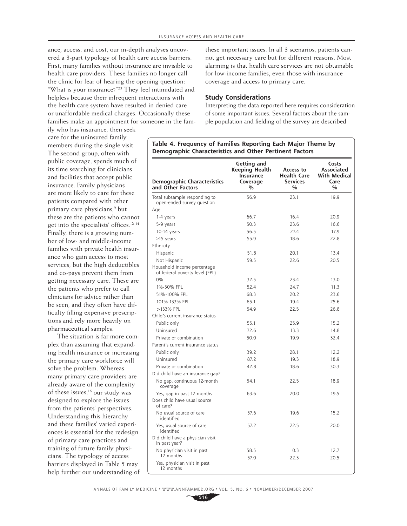ance, access, and cost, our in-depth analyses uncovered a 3-part typology of health care access barriers. First, many families without insurance are invisible to health care providers. These families no longer call the clinic for fear of hearing the opening question: "What is your insurance?"23 They feel intimidated and helpless because their infrequent interactions with the health care system have resulted in denied care or unaffordable medical charges. Occasionally these families make an appointment for someone in the fam-

ily who has insurance, then seek care for the uninsured family members during the single visit. The second group, often with public coverage, spends much of its time searching for clinicians and facilities that accept public insurance. Family physicians are more likely to care for these patients compared with other primary care physicians,<sup>9</sup> but these are the patients who cannot get into the specialists' offices.<sup>12-14</sup> Finally, there is a growing number of low- and middle-income families with private health insurance who gain access to most services, but the high deductibles and co-pays prevent them from getting necessary care. These are the patients who prefer to call clinicians for advice rather than be seen, and they often have difficulty filling expensive prescriptions and rely more heavily on pharmaceutical samples.

The situation is far more complex than assuming that expanding health insurance or increasing the primary care workforce will solve the problem. Whereas many primary care providers are already aware of the complexity of these issues,<sup>16</sup> our study was designed to explore the issues from the patients' perspectives. Understanding this hierarchy and these families' varied experiences is essential for the redesign of primary care practices and training of future family physicians. The typology of access barriers displayed in Table 5 may help further our understanding of

these important issues. In all 3 scenarios, patients cannot get necessary care but for different reasons. Most alarming is that health care services are not obtainable for low-income families, even those with insurance coverage and access to primary care.

### **Study Considerations**

Interpreting the data reported here requires consideration of some important issues. Several factors about the sample population and fielding of the survey are described

| <b>Demographic Characteristics</b><br>and Other Factors                | Getting and<br><b>Keeping Health</b><br>Insurance<br>Coverage<br>% | Access to<br><b>Health Care</b><br><b>Services</b><br>0/0 | Costs<br><b>Associated</b><br><b>With Medical</b><br>Care<br>$\frac{0}{0}$ |
|------------------------------------------------------------------------|--------------------------------------------------------------------|-----------------------------------------------------------|----------------------------------------------------------------------------|
| Total subsample responding to<br>open-ended survey question            | 56.9                                                               | 23.1                                                      | 19.9                                                                       |
| Age                                                                    |                                                                    |                                                           |                                                                            |
| 1-4 years                                                              | 66.7                                                               | 16.4                                                      | 20.9                                                                       |
| 5-9 years                                                              | 50.3                                                               | 23.6                                                      | 16.6                                                                       |
| $10-14$ years                                                          | 56.5                                                               | 27.4                                                      | 17.9                                                                       |
| $\geq$ 15 years<br>Ethnicity                                           | 55.9                                                               | 18.6                                                      | 22.8                                                                       |
| Hispanic                                                               | 51.8                                                               | 20.1                                                      | 13.4                                                                       |
| Not Hispanic                                                           | 59.5                                                               | 22.6                                                      | 20.5                                                                       |
| Household income percentage<br>of federal poverty level (FPL)          |                                                                    |                                                           |                                                                            |
| 0%                                                                     | 32.5                                                               | 23.4                                                      | 13.0                                                                       |
| 1%-50% FPL                                                             | 52.4                                                               | 24.7                                                      | 11.3                                                                       |
| 51%-100% FPL                                                           | 68.3                                                               | 20.2                                                      | 23.6                                                                       |
| 101%-133% FPL                                                          | 65.1                                                               | 19.4                                                      | 25.6                                                                       |
| >133% FPL                                                              | 54.9                                                               | 22.5                                                      | 26.8                                                                       |
| Child's current insurance status                                       |                                                                    |                                                           |                                                                            |
| Public only                                                            | 55.1                                                               | 25.9                                                      | 15.2                                                                       |
| Uninsured                                                              | 72.6                                                               | 13.3                                                      | 14.8                                                                       |
| Private or combination                                                 | 50.0                                                               | 19.9                                                      | 32.4                                                                       |
| Parent's current insurance status                                      |                                                                    |                                                           |                                                                            |
| Public only                                                            | 39.2                                                               | 28.1                                                      | 12.2                                                                       |
| Uninsured                                                              | 87.2                                                               | 19.3                                                      | 18.9                                                                       |
| Private or combination                                                 | 42.8                                                               | 18.6                                                      | 30.3                                                                       |
| Did child have an insurance gap?                                       |                                                                    |                                                           |                                                                            |
| No gap, continuous 12-month<br>coverage                                | 54.1                                                               | 22.5                                                      | 18.9                                                                       |
| Yes, gap in past 12 months<br>Does child have usual source<br>of care? | 63.6                                                               | 20.0                                                      | 19.5                                                                       |
| No usual source of care<br>identified                                  | 57.6                                                               | 19.6                                                      | 15.2                                                                       |
| Yes, usual source of care<br>identified                                | 57.2                                                               | 22.5                                                      | 20.0                                                                       |
| Did child have a physician visit<br>in past year?                      |                                                                    |                                                           |                                                                            |
| No physician visit in past<br>12 months                                | 58.5<br>57.0                                                       | 0.3<br>22.3                                               | 12.7<br>20.5                                                               |
| Yes, physician visit in past<br>12 months                              |                                                                    |                                                           |                                                                            |

ANNALS OF FAMILY MEDICINE ✦ WWW.ANNFAMMED.ORG ✦ VOL. 5, NO. 6 ✦ NOVEMBER/DECEMBER 2007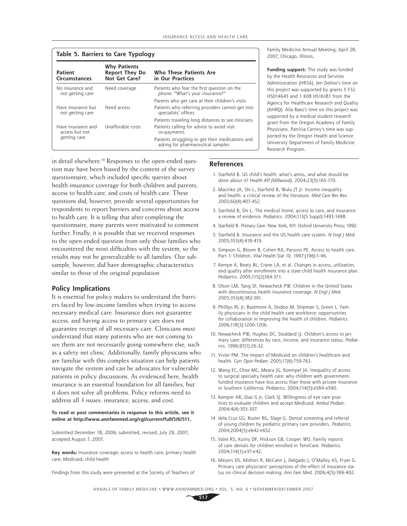| Table 5. Barriers to Care Typology                   |                                                        |                                                                                       |
|------------------------------------------------------|--------------------------------------------------------|---------------------------------------------------------------------------------------|
| <b>Patient</b><br><b>Circumstances</b>               | <b>Why Patients</b><br>Report They Do<br>Not Get Care? | <b>Who These Patients Are</b><br>in Our Practices                                     |
| No insurance and<br>not getting care                 | Need coverage                                          | Patients who fear the first question on the<br>phone: "What's your insurance?"        |
|                                                      |                                                        | Parents who get care at their children's visits                                       |
| Have insurance but<br>not getting care               | Need access                                            | Patients who referring providers cannot get into<br>specialists' offices              |
|                                                      |                                                        | Patients traveling long distances to see clinicians                                   |
| Have insurance and<br>access but not<br>getting care | Unafforable costs                                      | Patients calling for advice to avoid visit<br>co-payments                             |
|                                                      |                                                        | Patients struggling to get their medications and<br>asking for pharmaceutical samples |

in detail elsewhere.<sup>18</sup> Responses to the open-ended question may have been biased by the content of the survey questionnaire, which included specific queries about health insurance coverage for both children and parents, access to health care, and costs of health care. These questions did, however, provide several opportunities for respondents to report barriers and concerns about access to health care. It is telling that after completing the questionnaire, many parents were motivated to comment further. Finally, it is possible that we received responses to the open-ended question from only those families who encountered the most difficulties with the system, so the results may not be generalizable to all families. Our subsample, however, did have demographic characteristics similar to those of the original population.

## **Policy Implications**

It is essential for policy makers to understand the barriers faced by low-income families when trying to access necessary medical care. Insurance does not guarantee access, and having access to primary care does not guarantee receipt of all necessary care. Clinicians must understand that many patients who are not coming to see them are not necessarily going somewhere else, such as a safety net clinic. Additionally, family physicians who are familiar with this complex situation can help patients navigate the system and can be advocates for vulnerable patients in policy discussions. As evidenced here, health insurance is an essential foundation for all families, but it does not solve all problems. Policy reforms need to address all 3 issues: insurance, access, and cost.

#### **To read or post commentaries in response to this article, see it online at http://www.annfammed.org/cgi/current/full/5/6/511.**

Submitted December 18, 2006; submitted, revised, July 29, 2007; accepted August 7, 2007.

**Key words:** Insurance coverage; access to health care; primary health care; Medicaid; child health

Findings from this study were presented at the Society of Teachers of

Family Medicine Annual Meeting, April 28, 2007, Chicago, Illinois.

**Funding support:** The study was funded by the Health Resources and Services Administration (HRSA). Jen DeVoe's time on this project was supported by grants 5 F32 HS014645 and 1 K08 HS16181 from the Agency for Healthcare Research and Quality (AHRQ). Alia Baez's time on this project was supported by a medical student research grant from the Oregon Academy of Family Physicians. Patricia Carney's time was supported by the Oregon Health and Science University Department of Family Medicine Research Program.

## **References**

- 1. Starfield B. US child's health: what's amiss, and what should be done about it? Health Aff (Millwood). 2004;23(5):165-170.
- 2. Macinko JA, Shi L, Starfield B, Wulu JT Jr. Income inequality and health: a critical review of the literature. Med Care Res Rev. 2003;60(4):407-452.
- 3. Starfield B, Shi L. The medical home, access to care, and insurance: a review of evidence. Pediatrics. 2004;113(5 Suppl):1493-1498.
- 4. Starfield B. Primary Care. New York, NY: Oxford University Press; 1992.
- 5. Starfield B. Insurance and the US health care system. N Engl J Med. 2005;353(4):418-419.
- 6. Simpson G, Bloom B, Cohen RA, Parsons PE. Access to health care. Part 1: Children. Vital Health Stat 10. 1997;(196):1-46.
- 7. Kempe A, Beaty BL, Crane LA, et al. Changes in access, utilization, and quality after enrollment into a state child health insurance plan. Pediatrics. 2005;115(2)364-371.
- 8. Olson LM, Tang SF, Newacheck PW. Children in the United States with discontinuous health insurance coverage. N Engl J Med. 2005;353(4):382-391.
- 9. Phillips RL Jr, Bazemore A, Dodoo M, Shipman S, Green L. Family physicians in the child health care workforce: opportunities for collaboration in improving the health of children. Pediatrics. 2006;118(3):1200-1206.
- 10. Newacheck PW, Hughes DC, Stoddard JJ. Children's access to primary care: differences by race, income, and insurance status. Pediatrics. 1996;97(1):26-32.
- 11. Vivier PM. The impact of Medicaid on children's healthcare and health. Curr Opin Pediatr. 2005;17(6):759-763.
- 12. Wang EC, Choe MC, Meara JG, Koempel JA. Inequality of access to surgical specialty health care: why children with governmentfunded insurance have less access than those with private insurance in Southern California. Pediatrics. 2004;114(5):e584-e590.
- 13. Kemper AR, Diaz G Jr, Clark SJ. Willingness of eye care practices to evaluate children and accept Medicaid. Ambul Pediatr. 2004;4(4):303-307.
- 14. dela Cruz GG, Rozier RG, Slage G. Dental screening and referral of young children by pediatric primary care providers. Pediatrics. 2004;2004(5):e642-e652.
- 15. Valet RS, Kutny DF, Hickson GB, Cooper WO. Family reports of care denials for children enrolled in TennCare. Pediatrics. 2004;114(1):e37-e42.
- 16. Meyers DS, Mishori R, McCann J, Delgado J, O'Malley AS, Fryer G. Primary care physicians' perceptions of the effect of insurance status on clinical decision making. Ann Fam Med. 2006;4(5):399-402.

ANNALS OF FAMILY MEDICINE ✦ WWW.ANNFAMMED.ORG ✦ VOL. 5, NO. 6 ✦ NOVEMBER/DECEMBER 2007